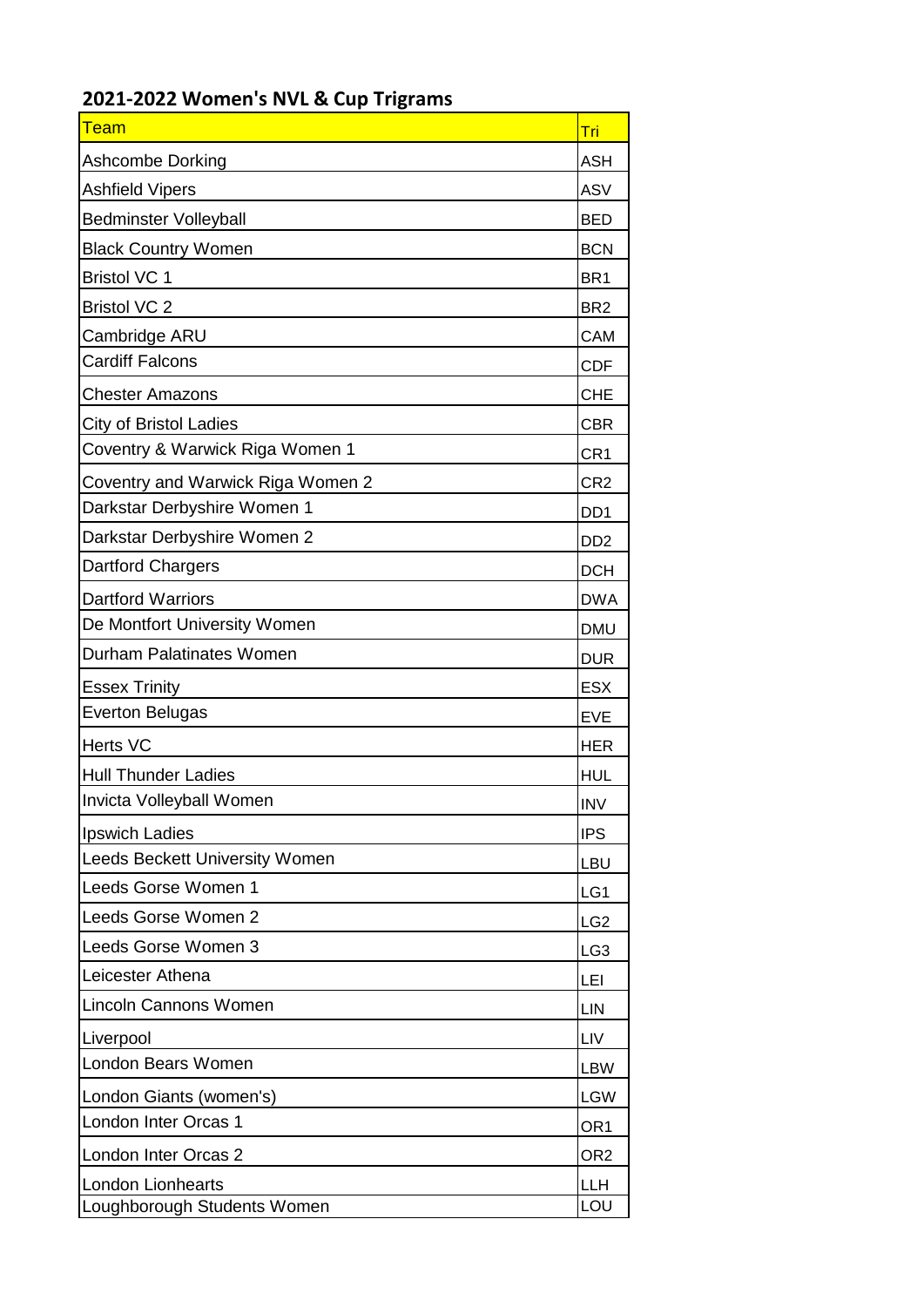| <b>Team</b>                           | Tri                         |
|---------------------------------------|-----------------------------|
| <b>Ashcombe Dorking</b>               | <b>ASH</b>                  |
| <b>Ashfield Vipers</b>                | <b>ASV</b>                  |
| <b>Bedminster Volleyball</b>          | <b>BED</b>                  |
| <b>Black Country Women</b>            | <b>BCN</b>                  |
| <b>Bristol VC 1</b>                   | BR <sub>1</sub>             |
| <b>Bristol VC 2</b>                   | BR <sub>2</sub>             |
| Cambridge ARU                         | CAM                         |
| <b>Cardiff Falcons</b>                | <b>CDF</b>                  |
| <b>Chester Amazons</b>                | <b>CHE</b>                  |
| <b>City of Bristol Ladies</b>         | <b>CBR</b>                  |
| Coventry & Warwick Riga Women 1       | CR <sub>1</sub>             |
| Coventry and Warwick Riga Women 2     | CR <sub>2</sub>             |
| Darkstar Derbyshire Women 1           | DD <sub>1</sub>             |
| Darkstar Derbyshire Women 2           | D <sub>D</sub> <sub>2</sub> |
| <b>Dartford Chargers</b>              | <b>DCH</b>                  |
| <b>Dartford Warriors</b>              | <b>DWA</b>                  |
| De Montfort University Women          | <b>DMU</b>                  |
| <b>Durham Palatinates Women</b>       | <b>DUR</b>                  |
| <b>Essex Trinity</b>                  | <b>ESX</b>                  |
| <b>Everton Belugas</b>                | <b>EVE</b>                  |
| <b>Herts VC</b>                       | <b>HER</b>                  |
| <b>Hull Thunder Ladies</b>            | <b>HUL</b>                  |
| Invicta Volleyball Women              | <b>INV</b>                  |
| <b>Ipswich Ladies</b>                 | <b>IPS</b>                  |
| <b>Leeds Beckett University Women</b> | <b>LBU</b>                  |
| Leeds Gorse Women 1                   | LG1                         |
| Leeds Gorse Women 2                   | LG <sub>2</sub>             |
| Leeds Gorse Women 3                   | LG <sub>3</sub>             |
| Leicester Athena                      | LEI                         |
| <b>Lincoln Cannons Women</b>          | LIN                         |
| Liverpool                             | LIV                         |
| London Bears Women                    | <b>LBW</b>                  |
| London Giants (women's)               | <b>LGW</b>                  |
| London Inter Orcas 1                  | OR <sub>1</sub>             |
| London Inter Orcas 2                  | OR <sub>2</sub>             |
| <b>London Lionhearts</b>              | <b>LLH</b>                  |
| Loughborough Students Women           | LOU                         |

## **2021-2022 Women's NVL & Cup Trigrams**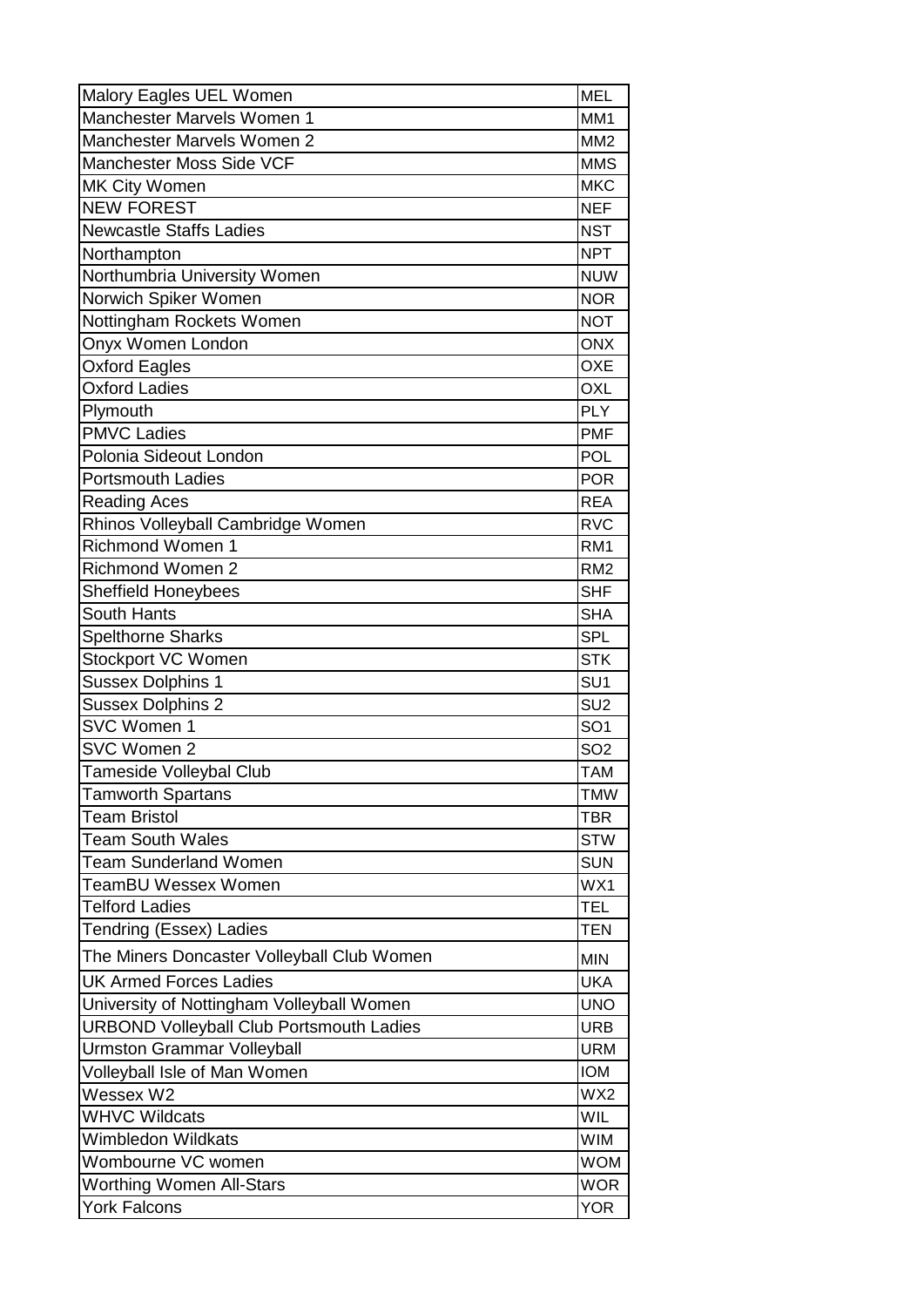| Malory Eagles UEL Women                         | <b>MEL</b>      |
|-------------------------------------------------|-----------------|
| Manchester Marvels Women 1                      | MM <sub>1</sub> |
| Manchester Marvels Women 2                      | MM <sub>2</sub> |
| Manchester Moss Side VCF                        | <b>MMS</b>      |
| MK City Women                                   | <b>MKC</b>      |
| <b>NEW FOREST</b>                               | <b>NEF</b>      |
| <b>Newcastle Staffs Ladies</b>                  | <b>NST</b>      |
| Northampton                                     | <b>NPT</b>      |
| Northumbria University Women                    | <b>NUW</b>      |
| Norwich Spiker Women                            | <b>NOR</b>      |
| Nottingham Rockets Women                        | <b>NOT</b>      |
| Onyx Women London                               | <b>ONX</b>      |
| <b>Oxford Eagles</b>                            | <b>OXE</b>      |
| Oxford Ladies                                   | <b>OXL</b>      |
| Plymouth                                        | <b>PLY</b>      |
| <b>PMVC Ladies</b>                              | <b>PMF</b>      |
| Polonia Sideout London                          | <b>POL</b>      |
| <b>Portsmouth Ladies</b>                        | <b>POR</b>      |
| <b>Reading Aces</b>                             | <b>REA</b>      |
| Rhinos Volleyball Cambridge Women               | <b>RVC</b>      |
| <b>Richmond Women 1</b>                         | RM <sub>1</sub> |
| <b>Richmond Women 2</b>                         | RM <sub>2</sub> |
| <b>Sheffield Honeybees</b>                      | <b>SHF</b>      |
| <b>South Hants</b>                              | <b>SHA</b>      |
| <b>Spelthorne Sharks</b>                        | <b>SPL</b>      |
| Stockport VC Women                              | <b>STK</b>      |
| Sussex Dolphins 1                               | SU <sub>1</sub> |
| <b>Sussex Dolphins 2</b>                        | SU <sub>2</sub> |
| SVC Women 1                                     | SO <sub>1</sub> |
| SVC Women 2                                     | SO <sub>2</sub> |
| <b>Tameside Volleybal Club</b>                  | <b>TAM</b>      |
| <b>Tamworth Spartans</b>                        | <b>TMW</b>      |
| <b>Team Bristol</b>                             | <b>TBR</b>      |
| <b>Team South Wales</b>                         | <b>STW</b>      |
| <b>Team Sunderland Women</b>                    | <b>SUN</b>      |
| TeamBU Wessex Women                             | WX1             |
| <b>Telford Ladies</b>                           | <b>TEL</b>      |
| <b>Tendring (Essex) Ladies</b>                  | <b>TEN</b>      |
| The Miners Doncaster Volleyball Club Women      | <b>MIN</b>      |
| <b>UK Armed Forces Ladies</b>                   | <b>UKA</b>      |
| University of Nottingham Volleyball Women       | <b>UNO</b>      |
| <b>URBOND Volleyball Club Portsmouth Ladies</b> | <b>URB</b>      |
| <b>Urmston Grammar Volleyball</b>               | <b>URM</b>      |
| Volleyball Isle of Man Women                    | <b>IOM</b>      |
| Wessex W2                                       | WX2             |
| <b>WHVC Wildcats</b>                            | WIL             |
| Wimbledon Wildkats                              | <b>WIM</b>      |
| Wombourne VC women                              | <b>WOM</b>      |
| <b>Worthing Women All-Stars</b>                 | <b>WOR</b>      |
| <b>York Falcons</b>                             | <b>YOR</b>      |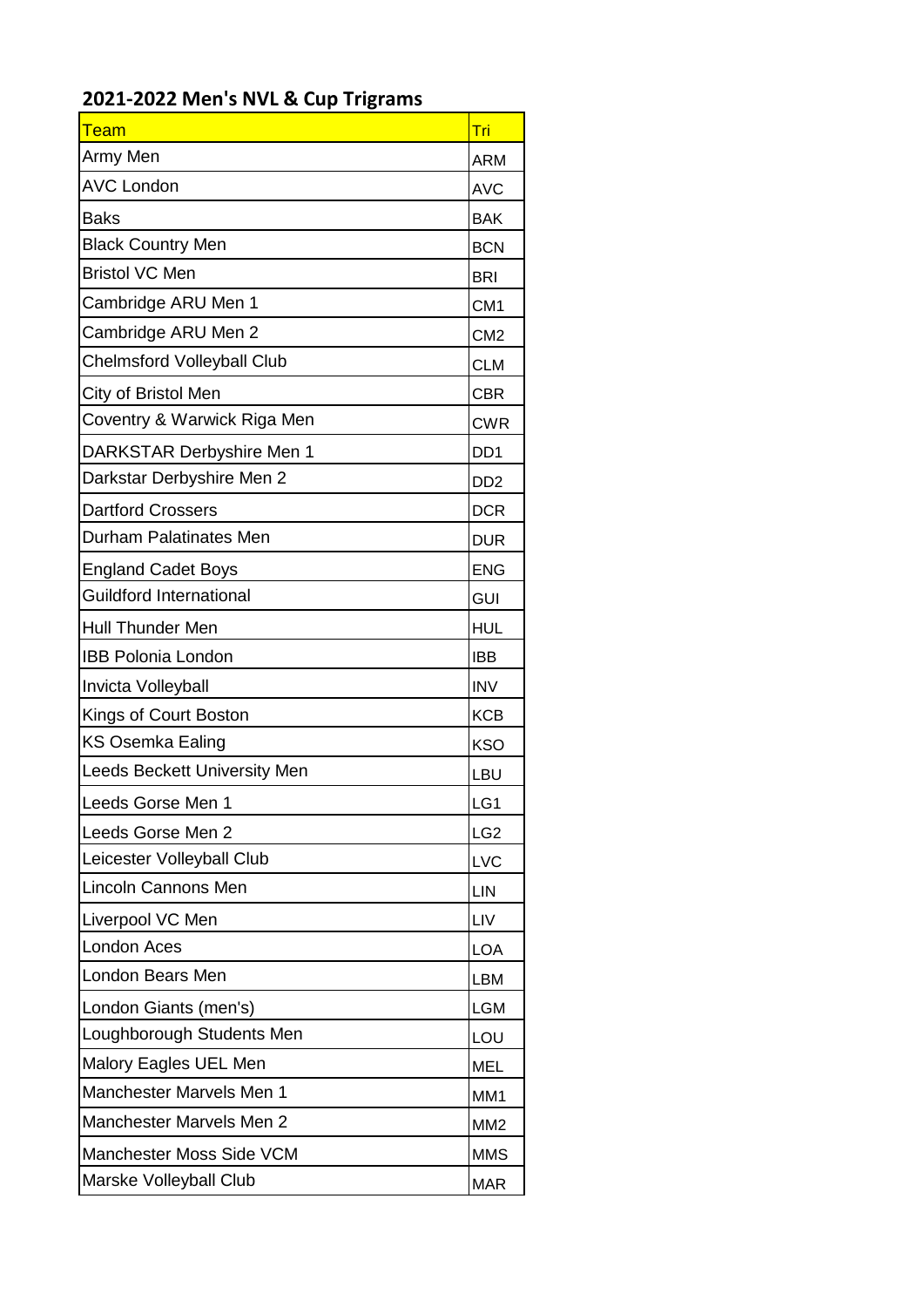## **2021-2022 Men's NVL & Cup Trigrams**

| Team                              | <u>Tri</u>                  |
|-----------------------------------|-----------------------------|
| Army Men                          | ARM                         |
| <b>AVC London</b>                 | <b>AVC</b>                  |
| <b>Baks</b>                       | <b>BAK</b>                  |
| <b>Black Country Men</b>          | <b>BCN</b>                  |
| <b>Bristol VC Men</b>             | <b>BRI</b>                  |
| Cambridge ARU Men 1               | CM <sub>1</sub>             |
| Cambridge ARU Men 2               | CM <sub>2</sub>             |
| <b>Chelmsford Volleyball Club</b> | <b>CLM</b>                  |
| City of Bristol Men               | <b>CBR</b>                  |
| Coventry & Warwick Riga Men       | <b>CWR</b>                  |
| DARKSTAR Derbyshire Men 1         | DD <sub>1</sub>             |
| Darkstar Derbyshire Men 2         | D <sub>D</sub> <sub>2</sub> |
| <b>Dartford Crossers</b>          | <b>DCR</b>                  |
| Durham Palatinates Men            | <b>DUR</b>                  |
| <b>England Cadet Boys</b>         | <b>ENG</b>                  |
| <b>Guildford International</b>    | <b>GUI</b>                  |
| <b>Hull Thunder Men</b>           | <b>HUL</b>                  |
| <b>IBB Polonia London</b>         | <b>IBB</b>                  |
| Invicta Volleyball                | <b>INV</b>                  |
| Kings of Court Boston             | <b>KCB</b>                  |
| KS Osemka Ealing                  | <b>KSO</b>                  |
| Leeds Beckett University Men      | LBU                         |
| Leeds Gorse Men 1                 | LG1                         |
| Leeds Gorse Men 2                 | LG <sub>2</sub>             |
| Leicester Volleyball Club         | <b>LVC</b>                  |
| <b>Lincoln Cannons Men</b>        | <b>LIN</b>                  |
| Liverpool VC Men                  | <b>LIV</b>                  |
| <b>London Aces</b>                | <b>LOA</b>                  |
| London Bears Men                  | <b>LBM</b>                  |
| London Giants (men's)             | <b>LGM</b>                  |
| Loughborough Students Men         | LOU                         |
| Malory Eagles UEL Men             | <b>MEL</b>                  |
| Manchester Marvels Men 1          | MM1                         |
| <b>Manchester Marvels Men 2</b>   | MM <sub>2</sub>             |
| Manchester Moss Side VCM          | <b>MMS</b>                  |
| Marske Volleyball Club            | <b>MAR</b>                  |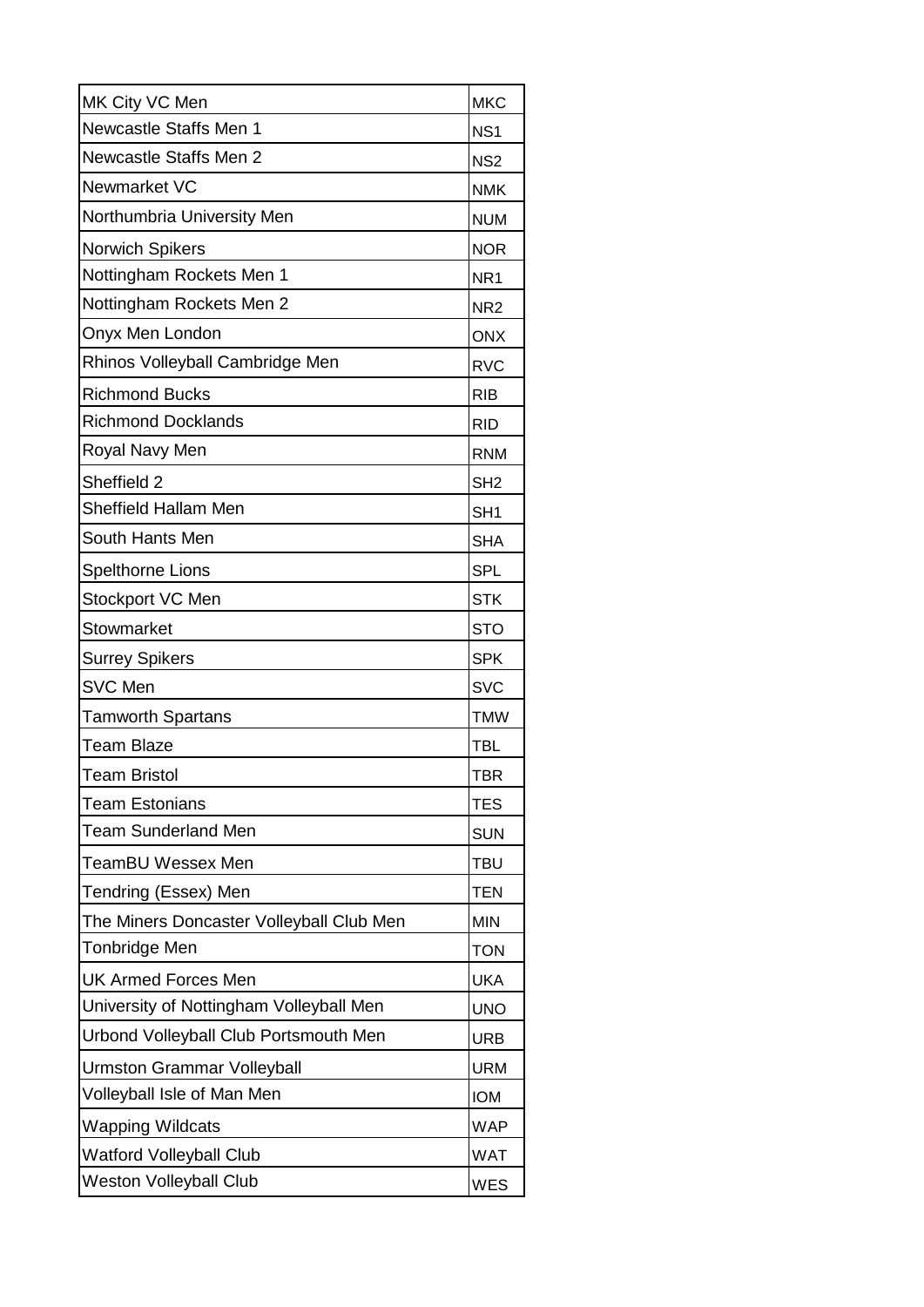| MK City VC Men                           | <b>MKC</b>      |
|------------------------------------------|-----------------|
| Newcastle Staffs Men 1                   | NS <sub>1</sub> |
| <b>Newcastle Staffs Men 2</b>            | NS <sub>2</sub> |
| Newmarket VC                             | <b>NMK</b>      |
| Northumbria University Men               | <b>NUM</b>      |
| <b>Norwich Spikers</b>                   | <b>NOR</b>      |
| Nottingham Rockets Men 1                 | NR <sub>1</sub> |
| Nottingham Rockets Men 2                 | NR <sub>2</sub> |
| Onyx Men London                          | <b>ONX</b>      |
| Rhinos Volleyball Cambridge Men          | <b>RVC</b>      |
| <b>Richmond Bucks</b>                    | <b>RIB</b>      |
| <b>Richmond Docklands</b>                | <b>RID</b>      |
| Royal Navy Men                           | <b>RNM</b>      |
| Sheffield 2                              | SH <sub>2</sub> |
| <b>Sheffield Hallam Men</b>              | SH <sub>1</sub> |
| South Hants Men                          | <b>SHA</b>      |
| <b>Spelthorne Lions</b>                  | <b>SPL</b>      |
| Stockport VC Men                         | <b>STK</b>      |
| Stowmarket                               | <b>STO</b>      |
| <b>Surrey Spikers</b>                    | <b>SPK</b>      |
| <b>SVC Men</b>                           | <b>SVC</b>      |
| <b>Tamworth Spartans</b>                 | <b>TMW</b>      |
| <b>Team Blaze</b>                        | <b>TBL</b>      |
| <b>Team Bristol</b>                      | TBR             |
| <b>Team Estonians</b>                    | <b>TES</b>      |
| <b>Team Sunderland Men</b>               | <b>SUN</b>      |
| <b>TeamBU Wessex Men</b>                 | <b>TBU</b>      |
| Tendring (Essex) Men                     | <b>TEN</b>      |
| The Miners Doncaster Volleyball Club Men | <b>MIN</b>      |
| Tonbridge Men                            | <b>TON</b>      |
| <b>UK Armed Forces Men</b>               | <b>UKA</b>      |
| University of Nottingham Volleyball Men  | <b>UNO</b>      |
| Urbond Volleyball Club Portsmouth Men    | <b>URB</b>      |
| Urmston Grammar Volleyball               | <b>URM</b>      |
| Volleyball Isle of Man Men               | <b>IOM</b>      |
| <b>Wapping Wildcats</b>                  | <b>WAP</b>      |
| <b>Watford Volleyball Club</b>           | <b>WAT</b>      |
| <b>Weston Volleyball Club</b>            | <b>WES</b>      |